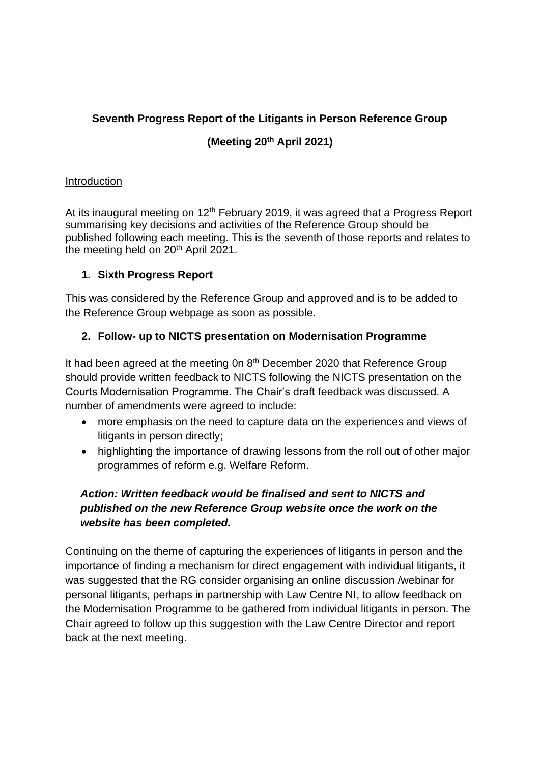### **Seventh Progress Report of the Litigants in Person Reference Group**

### **(Meeting 20th April 2021)**

#### **Introduction**

At its inaugural meeting on  $12<sup>th</sup>$  February 2019, it was agreed that a Progress Report summarising key decisions and activities of the Reference Group should be published following each meeting. This is the seventh of those reports and relates to the meeting held on 20<sup>th</sup> April 2021.

#### **1. Sixth Progress Report**

This was considered by the Reference Group and approved and is to be added to the Reference Group webpage as soon as possible.

#### **2. Follow- up to NICTS presentation on Modernisation Programme**

It had been agreed at the meeting 0n 8<sup>th</sup> December 2020 that Reference Group should provide written feedback to NICTS following the NICTS presentation on the Courts Modernisation Programme. The Chair's draft feedback was discussed. A number of amendments were agreed to include:

- more emphasis on the need to capture data on the experiences and views of litigants in person directly;
- highlighting the importance of drawing lessons from the roll out of other major programmes of reform e.g. Welfare Reform.

## *Action: Written feedback would be finalised and sent to NICTS and published on the new Reference Group website once the work on the website has been completed.*

Continuing on the theme of capturing the experiences of litigants in person and the importance of finding a mechanism for direct engagement with individual litigants, it was suggested that the RG consider organising an online discussion /webinar for personal litigants, perhaps in partnership with Law Centre NI, to allow feedback on the Modernisation Programme to be gathered from individual litigants in person. The Chair agreed to follow up this suggestion with the Law Centre Director and report back at the next meeting.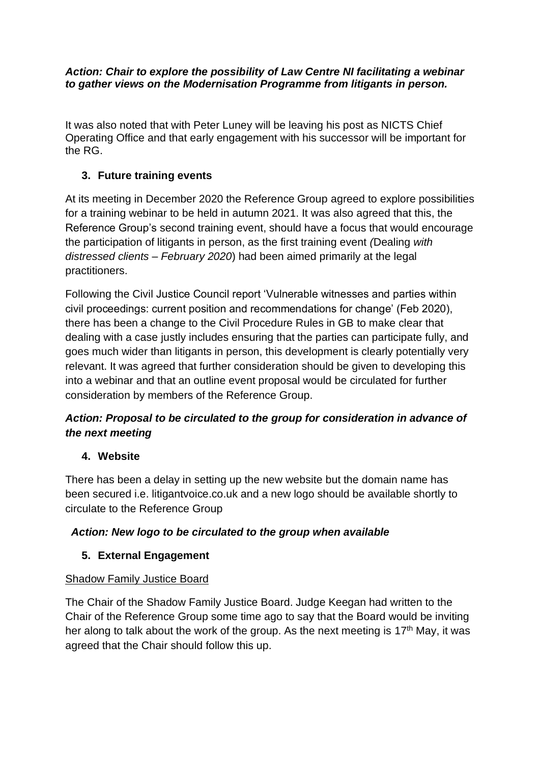#### *Action: Chair to explore the possibility of Law Centre NI facilitating a webinar to gather views on the Modernisation Programme from litigants in person.*

It was also noted that with Peter Luney will be leaving his post as NICTS Chief Operating Office and that early engagement with his successor will be important for the RG.

## **3. Future training events**

At its meeting in December 2020 the Reference Group agreed to explore possibilities for a training webinar to be held in autumn 2021. It was also agreed that this, the Reference Group's second training event, should have a focus that would encourage the participation of litigants in person, as the first training event *(*Dealing *with distressed clients – February 2020*) had been aimed primarily at the legal practitioners.

Following the Civil Justice Council report 'Vulnerable witnesses and parties within civil proceedings: current position and recommendations for change' (Feb 2020), there has been a change to the Civil Procedure Rules in GB to make clear that dealing with a case justly includes ensuring that the parties can participate fully, and goes much wider than litigants in person, this development is clearly potentially very relevant. It was agreed that further consideration should be given to developing this into a webinar and that an outline event proposal would be circulated for further consideration by members of the Reference Group.

# *Action: Proposal to be circulated to the group for consideration in advance of the next meeting*

## **4. Website**

There has been a delay in setting up the new website but the domain name has been secured i.e. litigantvoice.co.uk and a new logo should be available shortly to circulate to the Reference Group

# *Action: New logo to be circulated to the group when available*

# **5. External Engagement**

## Shadow Family Justice Board

The Chair of the Shadow Family Justice Board. Judge Keegan had written to the Chair of the Reference Group some time ago to say that the Board would be inviting her along to talk about the work of the group. As the next meeting is 17<sup>th</sup> May, it was agreed that the Chair should follow this up.